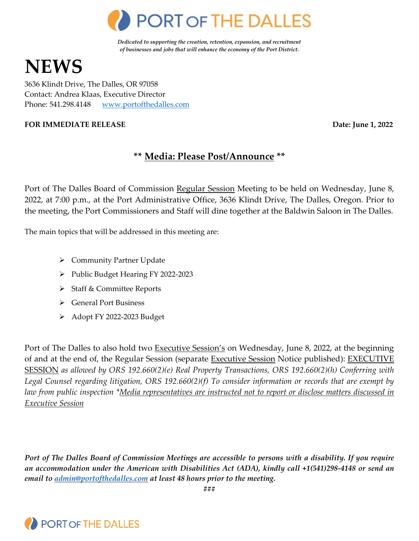

*Dedicated to supporting the creation, retention, expansion, and recruitment of businesses and jobs that will enhance the economy of the Port District.* 

# **NEWS**

3636 Klindt Drive, The Dalles, OR 97058 Contact: Andrea Klaas, Executive Director Phone: 541.298.4148 [www.portofthedalles.com](http://www.portofthedalles.com/)

#### **FOR IMMEDIATE RELEASE DATE: Date: Date: Date: Date: Date: Date: Date: Date: Date: Date: Date: Date: Date: Date: Date: Date: Date: Date: Date: Date: Date: Date: Date: Date:**

# **\*\* Media: Please Post/Announce \*\***

Port of The Dalles Board of Commission Regular Session Meeting to be held on Wednesday, June 8, 2022, at 7:00 p.m., at the Port Administrative Office, 3636 Klindt Drive, The Dalles, Oregon. Prior to the meeting, the Port Commissioners and Staff will dine together at the Baldwin Saloon in The Dalles.

The main topics that will be addressed in this meeting are:

- $\triangleright$  Community Partner Update
- Public Budget Hearing FY 2022-2023
- > Staff & Committee Reports
- General Port Business
- > Adopt FY 2022-2023 Budget

Port of The Dalles to also hold two **Executive Session's** on Wednesday, June 8, 2022, at the beginning of and at the end of, the Regular Session (separate Executive Session Notice published): EXECUTIVE SESSION *as allowed by ORS 192.660(2)(e) Real Property Transactions, ORS 192.660(2)(h) Conferring with Legal Counsel regarding litigation, ORS 192.660(2)(f) To consider information or records that are exempt by law from public inspection \*Media representatives are instructed not to report or disclose matters discussed in Executive Session*

*Port of The Dalles Board of Commission Meetings are accessible to persons with a disability. If you require an accommodation under the American with Disabilities Act (ADA), kindly call +1(541)298-4148 or send an email to [admin@portofthedalles.com](mailto:admin@portofthedalles.com) at least 48 hours prior to the meeting.* 

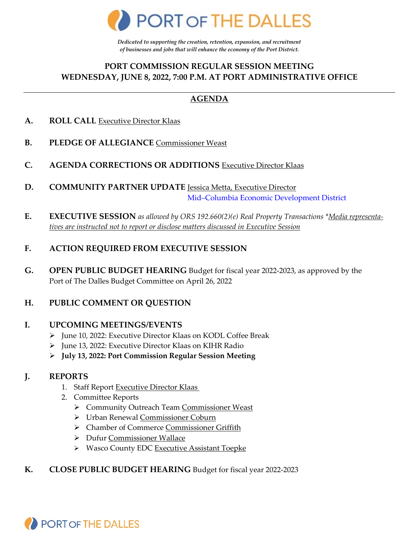

*Dedicated to supporting the creation, retention, expansion, and recruitment of businesses and jobs that will enhance the economy of the Port District.* 

## **PORT COMMISSION REGULAR SESSION MEETING WEDNESDAY, JUNE 8, 2022, 7:00 P.M. AT PORT ADMINISTRATIVE OFFICE**

# **AGENDA**

- **A. ROLL CALL** Executive Director Klaas
- **B. PLEDGE OF ALLEGIANCE** Commissioner Weast
- **C. AGENDA CORRECTIONS OR ADDITIONS** Executive Director Klaas
- **D. COMMUNITY PARTNER UPDATE** Jessica Metta, Executive Director [Mid–Columbia Economic Development District](https://www.mcedd.org/)
- **E. EXECUTIVE SESSION** *as allowed by ORS 192.660(2)(e) Real Property Transactions \*Media representatives are instructed not to report or disclose matters discussed in Executive Session*

#### **F. ACTION REQUIRED FROM EXECUTIVE SESSION**

**G. OPEN PUBLIC BUDGET HEARING** Budget for fiscal year 2022-2023, as approved by the Port of The Dalles Budget Committee on April 26, 2022

#### **H. PUBLIC COMMENT OR QUESTION**

#### **I. UPCOMING MEETINGS/EVENTS**

- > June 10, 2022: Executive Director Klaas on KODL Coffee Break
- > June 13, 2022: Executive Director Klaas on KIHR Radio
- **July 13, 2022: Port Commission Regular Session Meeting**

#### **J. REPORTS**

- 1. Staff Report Executive Director Klaas
- 2. Committee Reports
	- ▶ Community Outreach Team Commissioner Weast
	- Urban Renewal Commissioner Coburn
	- Chamber of Commerce Commissioner Griffith
	- Dufur Commissioner Wallace
	- ▶ Wasco County EDC Executive Assistant Toepke
- **K. CLOSE PUBLIC BUDGET HEARING** Budget for fiscal year 2022-2023